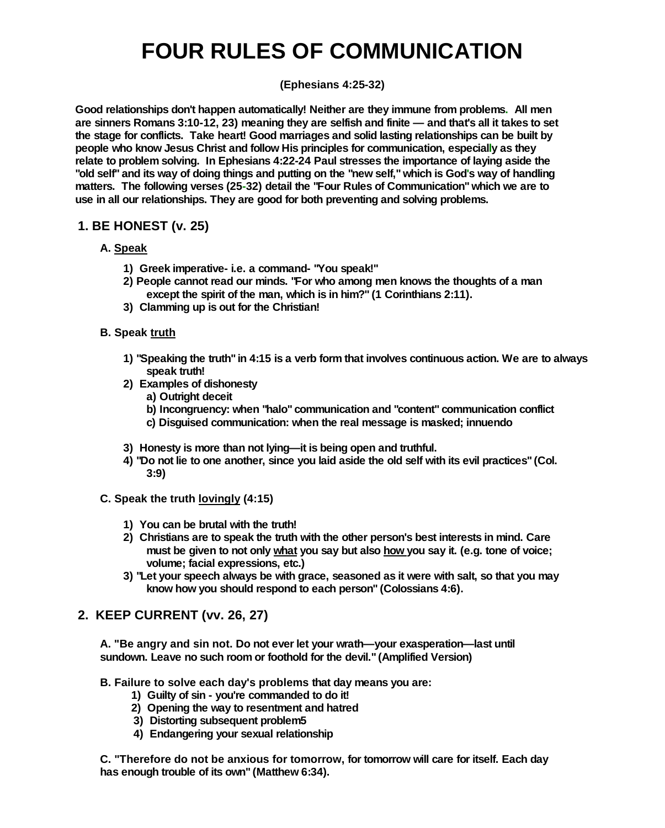# **FOUR RULES OF COMMUNICATION**

## **(Ephesians 4:25-32)**

**Good relationships don't happen automatically! Neither are they immune from problems. All men are sinners Romans 3:10-12, 23) meaning they are selfish and finite—and that's all it takes to set the stage for conflicts. Take heart! Good marriages and solid lasting relationships can be built by people who know Jesus Christ and follow His principles for communication, especially as they relate to problem solving. In Ephesians 4:22-24 Paul stresses the importance of laying aside the** "old self" and its way of doing things and putting on the "new self," which is God's way of handling **matters. The following verses (25-32) detail the "Four Rules of Communication" which we are to use in all our relationships. They are good for both preventing and solving problems.**

# **1. BE HONEST (v. 25)**

## **A. Speak**

- **1) Greek imperative- i.e. a command- "You speak!"**
- **2) People cannot read our minds. "For who among men knows the thoughts of a man except the spirit of the man, which is in him?" (1 Corinthians 2:11).**
- **3) Clamming up is out for the Christian!**

## **B. Speak truth**

- **1) "Speaking the truth" in 4:15 is a verb form that involves continuous action. We are to always speak truth!**
- **2) Examples of dishonesty**
	- **a) Outright deceit**
	- **b) Incongruency: when "halo" communication and "content" communication conflict**
	- **c) Disguised communication: when the real message is masked; innuendo**
- **3) Honesty is more than not lying—it is being open and truthful.**
- 4) "Do not lie to one another, since you laid aside the old self with its evil practices" (Col. **3:9)**

## **C. Speak the truth lovingly (4:15)**

- **1) You can be brutal with the truth!**
- **2) Christians are to speak the truth with the other person's best interests in mind. Care must be given to not only what you say but also how you say it. (e.g. tone of voice; volume; facial expressions, etc.)**
- **3) "Let your speech always be with grace, seasoned as it were with salt, so that you may know how you should respond to each person" (Colossians 4:6).**

# **2. KEEP CURRENT (vv. 26, 27)**

**A. "Be angry and sin not. Do not ever let your wrath—your exasperation—last until sundown. Leave no such room or foothold for the devil." (Amplified Version)**

## **B. Failure to solve each day's problems that day means you are:**

- **1) Guilty of sin - you're commanded to do it!**
- **2) Opening the way to resentment and hatred**
- **3) Distorting subsequent problem5**
- **4) Endangering your sexual relationship**

**C. "Therefore do not be anxious for tomorrow, for tomorrow will care for itself. Each day has enough trouble of its own" (Matthew 6:34).**